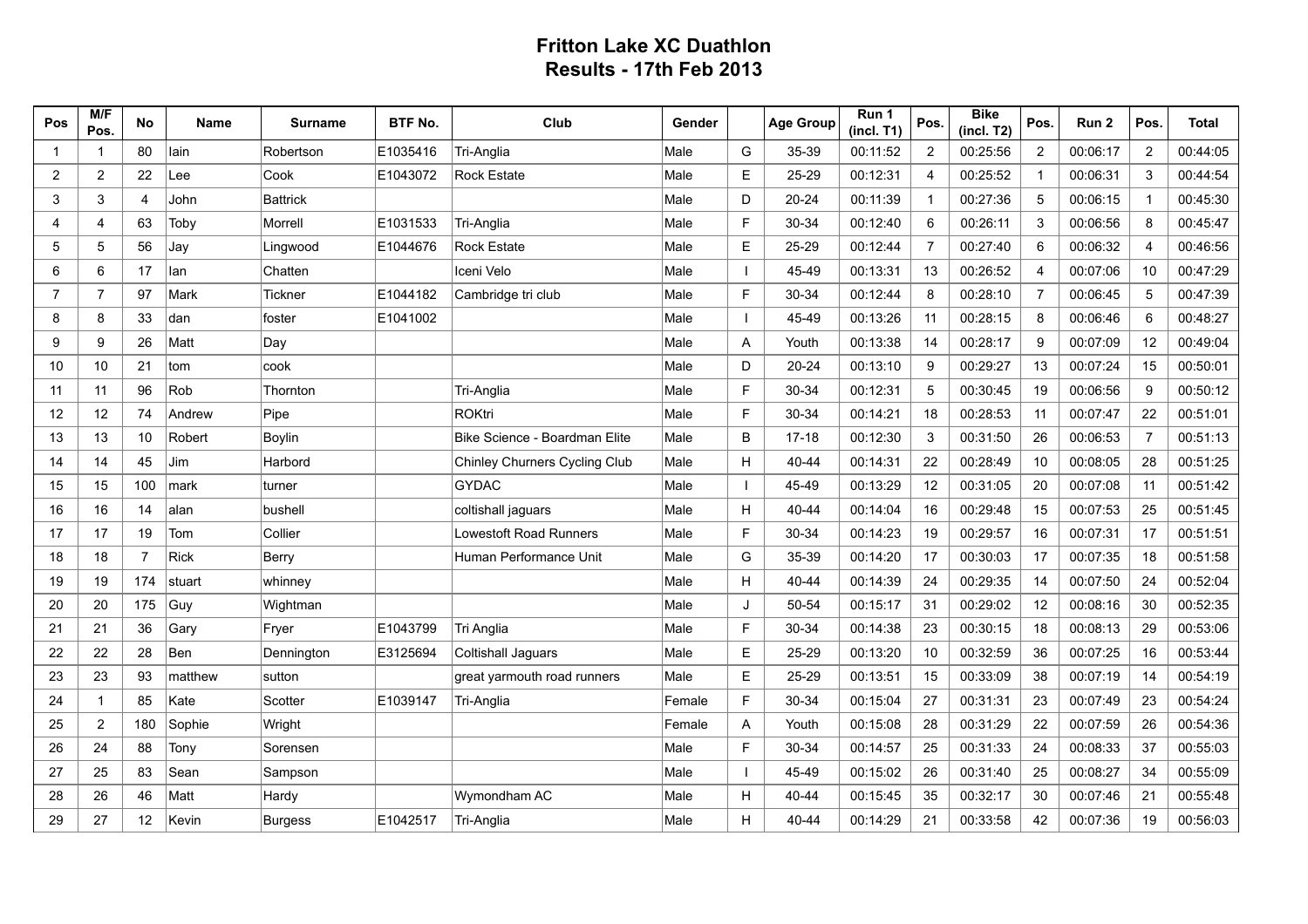## **Fritton Lake XC Duathlon Results - 17th Feb 2013**

| Pos            | M/F<br>Pos.    | No             | <b>Name</b> | <b>Surname</b>  | <b>BTF No.</b> | Club                          | Gender |              | <b>Age Group</b> | Run 1<br>(incl. T1) | Pos.                     | <b>Bike</b><br>(incl. T2) | Pos.           | Run 2    | Pos.           | <b>Total</b> |
|----------------|----------------|----------------|-------------|-----------------|----------------|-------------------------------|--------|--------------|------------------|---------------------|--------------------------|---------------------------|----------------|----------|----------------|--------------|
| $\mathbf{1}$   | $\mathbf{1}$   | 80             | lain        | Robertson       | E1035416       | Tri-Anglia                    | Male   | G            | 35-39            | 00:11:52            | $\overline{2}$           | 00:25:56                  | 2              | 00:06:17 | 2              | 00:44:05     |
| $\overline{2}$ | $\overline{2}$ | 22             | Lee         | Cook            | E1043072       | <b>Rock Estate</b>            | Male   | E            | 25-29            | 00:12:31            | $\overline{\mathcal{A}}$ | 00:25:52                  | $\mathbf{1}$   | 00:06:31 | 3              | 00:44:54     |
| 3              | 3              | 4              | John        | <b>Battrick</b> |                |                               | Male   | D            | 20-24            | 00:11:39            | -1                       | 00:27:36                  | 5              | 00:06:15 | $\mathbf{1}$   | 00:45:30     |
| 4              | 4              | 63             | Toby        | Morrell         | E1031533       | Tri-Anglia                    | Male   | F            | 30-34            | 00:12:40            | 6                        | 00:26:11                  | 3              | 00:06:56 | 8              | 00:45:47     |
| 5              | 5              | 56             | Jay         | Lingwood        | E1044676       | <b>Rock Estate</b>            | Male   | $\mathsf E$  | 25-29            | 00:12:44            | $\overline{7}$           | 00:27:40                  | 6              | 00:06:32 | $\overline{4}$ | 00:46:56     |
| 6              | 6              | 17             | lan         | Chatten         |                | Iceni Velo                    | Male   | $\mathbf{I}$ | 45-49            | 00:13:31            | 13                       | 00:26:52                  | $\overline{4}$ | 00:07:06 | 10             | 00:47:29     |
| $\overline{7}$ | $\overline{7}$ | 97             | Mark        | Tickner         | E1044182       | Cambridge tri club            | Male   | E            | 30-34            | 00:12:44            | 8                        | 00:28:10                  | $\overline{7}$ | 00:06:45 | 5              | 00:47:39     |
| 8              | 8              | 33             | dan         | foster          | E1041002       |                               | Male   | $\mathbf{I}$ | 45-49            | 00:13:26            | 11                       | 00:28:15                  | 8              | 00:06:46 | 6              | 00:48:27     |
| 9              | 9              | 26             | Matt        | Day             |                |                               | Male   | Α            | Youth            | 00:13:38            | 14                       | 00:28:17                  | 9              | 00:07:09 | 12             | 00:49:04     |
| 10             | 10             | 21             | tom         | cook            |                |                               | Male   | D            | $20 - 24$        | 00:13:10            | 9                        | 00:29:27                  | 13             | 00:07:24 | 15             | 00:50:01     |
| 11             | 11             | 96             | Rob         | Thornton        |                | Tri-Anglia                    | Male   | $\mathsf F$  | 30-34            | 00:12:31            | 5                        | 00:30:45                  | 19             | 00:06:56 | 9              | 00:50:12     |
| 12             | 12             | 74             | Andrew      | Pipe            |                | <b>ROKtri</b>                 | Male   | $\mathsf{F}$ | 30-34            | 00:14:21            | 18                       | 00:28:53                  | 11             | 00:07:47 | 22             | 00:51:01     |
| 13             | 13             | 10             | Robert      | Boylin          |                | Bike Science - Boardman Elite | Male   | B            | $17 - 18$        | 00:12:30            | 3                        | 00:31:50                  | 26             | 00:06:53 | $\overline{7}$ | 00:51:13     |
| 14             | 14             | 45             | Jim         | Harbord         |                | Chinley Churners Cycling Club | Male   | Н            | 40-44            | 00:14:31            | 22                       | 00:28:49                  | 10             | 00:08:05 | 28             | 00:51:25     |
| 15             | 15             | 100            | mark        | turner          |                | <b>GYDAC</b>                  | Male   | $\mathbf{I}$ | 45-49            | 00:13:29            | 12                       | 00:31:05                  | 20             | 00:07:08 | 11             | 00:51:42     |
| 16             | 16             | 14             | alan        | bushell         |                | coltishall jaguars            | Male   | H            | 40-44            | 00:14:04            | 16                       | 00:29:48                  | 15             | 00:07:53 | 25             | 00:51:45     |
| 17             | 17             | 19             | Tom         | Collier         |                | Lowestoft Road Runners        | Male   | $\mathsf F$  | 30-34            | 00:14:23            | 19                       | 00:29:57                  | 16             | 00:07:31 | 17             | 00:51:51     |
| 18             | 18             | $\overline{7}$ | <b>Rick</b> | Berry           |                | Human Performance Unit        | Male   | G            | 35-39            | 00:14:20            | 17                       | 00:30:03                  | 17             | 00:07:35 | 18             | 00:51:58     |
| 19             | 19             | 174            | stuart      | whinney         |                |                               | Male   | H            | 40-44            | 00:14:39            | 24                       | 00:29:35                  | 14             | 00:07:50 | 24             | 00:52:04     |
| 20             | 20             | 175            | Guy         | Wightman        |                |                               | Male   | J            | 50-54            | 00:15:17            | 31                       | 00:29:02                  | 12             | 00:08:16 | 30             | 00:52:35     |
| 21             | 21             | 36             | Gary        | Fryer           | E1043799       | Tri Anglia                    | Male   | $\mathsf F$  | 30-34            | 00:14:38            | 23                       | 00:30:15                  | 18             | 00:08:13 | 29             | 00:53:06     |
| 22             | 22             | 28             | Ben         | Dennington      | E3125694       | Coltishall Jaguars            | Male   | E            | 25-29            | 00:13:20            | 10                       | 00:32:59                  | 36             | 00:07:25 | 16             | 00:53:44     |
| 23             | 23             | 93             | matthew     | sutton          |                | great yarmouth road runners   | Male   | E            | 25-29            | 00:13:51            | 15                       | 00:33:09                  | 38             | 00:07:19 | 14             | 00:54:19     |
| 24             | $\mathbf{1}$   | 85             | Kate        | Scotter         | E1039147       | Tri-Anglia                    | Female | E            | 30-34            | 00:15:04            | 27                       | 00:31:31                  | 23             | 00:07:49 | 23             | 00:54:24     |
| 25             | $\overline{2}$ | 180            | Sophie      | Wright          |                |                               | Female | Α            | Youth            | 00:15:08            | 28                       | 00:31:29                  | 22             | 00:07:59 | 26             | 00:54:36     |
| 26             | 24             | 88             | Tony        | Sorensen        |                |                               | Male   | $\mathsf F$  | 30-34            | 00:14:57            | 25                       | 00:31:33                  | 24             | 00:08:33 | 37             | 00:55:03     |
| 27             | 25             | 83             | Sean        | Sampson         |                |                               | Male   | $\mathbf{I}$ | 45-49            | 00:15:02            | 26                       | 00:31:40                  | 25             | 00:08:27 | 34             | 00:55:09     |
| 28             | 26             | 46             | Matt        | Hardy           |                | Wymondham AC                  | Male   | H            | 40-44            | 00:15:45            | 35                       | 00:32:17                  | 30             | 00:07:46 | 21             | 00:55:48     |
| 29             | 27             | 12             | Kevin       | <b>Burgess</b>  | E1042517       | Tri-Anglia                    | Male   | H            | 40-44            | 00:14:29            | 21                       | 00:33:58                  | 42             | 00:07:36 | 19             | 00:56:03     |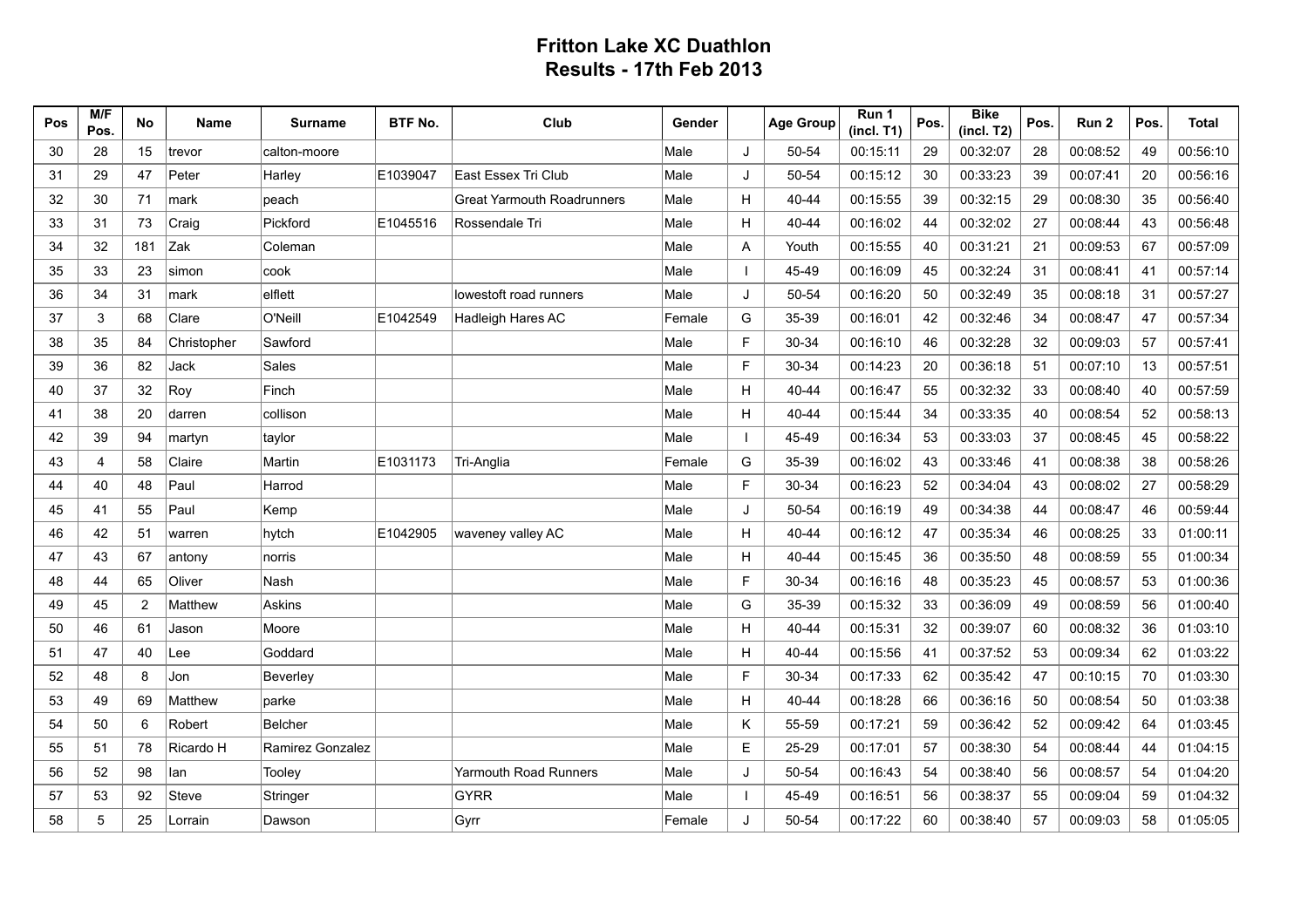## **Fritton Lake XC Duathlon Results - 17th Feb 2013**

| Pos | M/F<br>Pos. | No             | Name         | <b>Surname</b>   | <b>BTF No.</b> | Club                              | Gender |                | <b>Age Group</b> | Run 1<br>(incl. T1) | Pos. | <b>Bike</b><br>(incl. T2) | Pos. | Run 2    | Pos. | Total    |
|-----|-------------|----------------|--------------|------------------|----------------|-----------------------------------|--------|----------------|------------------|---------------------|------|---------------------------|------|----------|------|----------|
| 30  | 28          | 15             | trevor       | calton-moore     |                |                                   | Male   | J              | 50-54            | 00:15:11            | 29   | 00:32:07                  | 28   | 00:08:52 | 49   | 00:56:10 |
| 31  | 29          | 47             | Peter        | Harley           | E1039047       | East Essex Tri Club               | Male   | J              | 50-54            | 00:15:12            | 30   | 00:33:23                  | 39   | 00:07:41 | 20   | 00:56:16 |
| 32  | 30          | 71             | mark         | peach            |                | <b>Great Yarmouth Roadrunners</b> | Male   | H              | 40-44            | 00:15:55            | 39   | 00:32:15                  | 29   | 00:08:30 | 35   | 00:56:40 |
| 33  | 31          | 73             | Craig        | Pickford         | E1045516       | Rossendale Tri                    | Male   | H              | 40-44            | 00:16:02            | 44   | 00:32:02                  | 27   | 00:08:44 | 43   | 00:56:48 |
| 34  | 32          | 181            | Zak          | Coleman          |                |                                   | Male   | Α              | Youth            | 00:15:55            | 40   | 00:31:21                  | 21   | 00:09:53 | 67   | 00:57:09 |
| 35  | 33          | 23             | simon        | cook             |                |                                   | Male   | $\overline{1}$ | 45-49            | 00:16:09            | 45   | 00:32:24                  | 31   | 00:08:41 | 41   | 00:57:14 |
| 36  | 34          | 31             | mark         | elflett          |                | lowestoft road runners            | Male   | J              | 50-54            | 00:16:20            | 50   | 00:32:49                  | 35   | 00:08:18 | 31   | 00:57:27 |
| 37  | 3           | 68             | Clare        | O'Neill          | E1042549       | Hadleigh Hares AC                 | Female | G              | 35-39            | 00:16:01            | 42   | 00:32:46                  | 34   | 00:08:47 | 47   | 00:57:34 |
| 38  | 35          | 84             | Christopher  | Sawford          |                |                                   | Male   | $\mathsf F$    | 30-34            | 00:16:10            | 46   | 00:32:28                  | 32   | 00:09:03 | 57   | 00:57:41 |
| 39  | 36          | 82             | Jack         | Sales            |                |                                   | Male   | F              | 30-34            | 00:14:23            | 20   | 00:36:18                  | 51   | 00:07:10 | 13   | 00:57:51 |
| 40  | 37          | 32             | Roy          | Finch            |                |                                   | Male   | H              | 40-44            | 00:16:47            | 55   | 00:32:32                  | 33   | 00:08:40 | 40   | 00:57:59 |
| 41  | 38          | 20             | darren       | collison         |                |                                   | Male   | H              | 40-44            | 00:15:44            | 34   | 00:33:35                  | 40   | 00:08:54 | 52   | 00:58:13 |
| 42  | 39          | 94             | martyn       | taylor           |                |                                   | Male   | $\mathbf{I}$   | 45-49            | 00:16:34            | 53   | 00:33:03                  | 37   | 00:08:45 | 45   | 00:58:22 |
| 43  | 4           | 58             | Claire       | Martin           | E1031173       | Tri-Anglia                        | Female | G              | 35-39            | 00:16:02            | 43   | 00:33:46                  | 41   | 00:08:38 | 38   | 00:58:26 |
| 44  | 40          | 48             | Paul         | Harrod           |                |                                   | Male   | F              | 30-34            | 00:16:23            | 52   | 00:34:04                  | 43   | 00:08:02 | 27   | 00:58:29 |
| 45  | 41          | 55             | Paul         | Kemp             |                |                                   | Male   | J              | 50-54            | 00:16:19            | 49   | 00:34:38                  | 44   | 00:08:47 | 46   | 00:59:44 |
| 46  | 42          | 51             | warren       | hytch            | E1042905       | waveney valley AC                 | Male   | H              | 40-44            | 00:16:12            | 47   | 00:35:34                  | 46   | 00:08:25 | 33   | 01:00:11 |
| 47  | 43          | 67             | antony       | norris           |                |                                   | Male   | H              | 40-44            | 00:15:45            | 36   | 00:35:50                  | 48   | 00:08:59 | 55   | 01:00:34 |
| 48  | 44          | 65             | Oliver       | Nash             |                |                                   | Male   | F              | 30-34            | 00:16:16            | 48   | 00:35:23                  | 45   | 00:08:57 | 53   | 01:00:36 |
| 49  | 45          | $\overline{2}$ | Matthew      | Askins           |                |                                   | Male   | G              | 35-39            | 00:15:32            | 33   | 00:36:09                  | 49   | 00:08:59 | 56   | 01:00:40 |
| 50  | 46          | 61             | Jason        | Moore            |                |                                   | Male   | H              | 40-44            | 00:15:31            | 32   | 00:39:07                  | 60   | 00:08:32 | 36   | 01:03:10 |
| 51  | 47          | 40             | Lee          | Goddard          |                |                                   | Male   | H              | 40-44            | 00:15:56            | 41   | 00:37:52                  | 53   | 00:09:34 | 62   | 01:03:22 |
| 52  | 48          | 8              | Jon          | Beverley         |                |                                   | Male   | F              | 30-34            | 00:17:33            | 62   | 00:35:42                  | 47   | 00:10:15 | 70   | 01:03:30 |
| 53  | 49          | 69             | Matthew      | parke            |                |                                   | Male   | H              | 40-44            | 00:18:28            | 66   | 00:36:16                  | 50   | 00:08:54 | 50   | 01:03:38 |
| 54  | 50          | 6              | Robert       | Belcher          |                |                                   | Male   | Κ              | 55-59            | 00:17:21            | 59   | 00:36:42                  | 52   | 00:09:42 | 64   | 01:03:45 |
| 55  | 51          | 78             | Ricardo H    | Ramirez Gonzalez |                |                                   | Male   | E              | 25-29            | 00:17:01            | 57   | 00:38:30                  | 54   | 00:08:44 | 44   | 01:04:15 |
| 56  | 52          | 98             | lan          | Toolev           |                | Yarmouth Road Runners             | Male   | J              | 50-54            | 00:16:43            | 54   | 00:38:40                  | 56   | 00:08:57 | 54   | 01:04:20 |
| 57  | 53          | 92             | <b>Steve</b> | Stringer         |                | GYRR                              | Male   | $\mathbf{I}$   | 45-49            | 00:16:51            | 56   | 00:38:37                  | 55   | 00:09:04 | 59   | 01:04:32 |
| 58  | 5           | 25             | Lorrain      | Dawson           |                | Gyrr                              | Female | J              | 50-54            | 00:17:22            | 60   | 00:38:40                  | 57   | 00:09:03 | 58   | 01:05:05 |